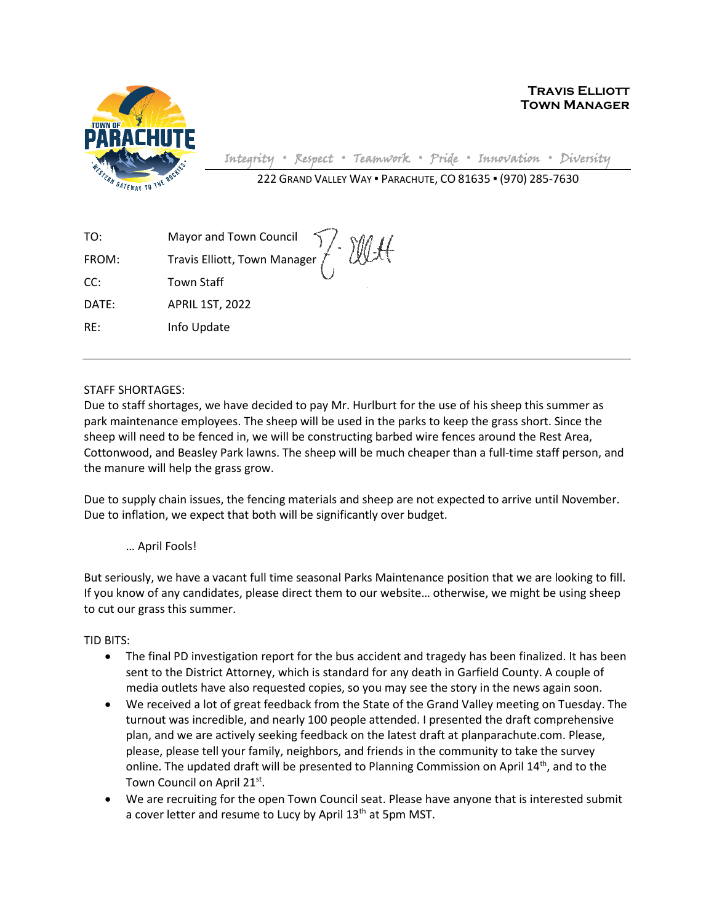

**Travis Elliott Town Manager**

Integrity **▪** Respect **▪** Teamwork **▪** Pride **▪** Innovation **▪** Diversity

222 GRAND VALLEY WAY ▪ PARACHUTE, CO 81635 ▪ (970) 285-7630

| TO:   |                                                                    |
|-------|--------------------------------------------------------------------|
| FROM: | Mayor and Town Council 7. WH<br>Travis Elliott, Town Manager 7. WH |
| CC:   | <b>Town Staff</b>                                                  |
| DATE: | <b>APRIL 1ST, 2022</b>                                             |
| RE:   | Info Update                                                        |

STAFF SHORTAGES:

Due to staff shortages, we have decided to pay Mr. Hurlburt for the use of his sheep this summer as park maintenance employees. The sheep will be used in the parks to keep the grass short. Since the sheep will need to be fenced in, we will be constructing barbed wire fences around the Rest Area, Cottonwood, and Beasley Park lawns. The sheep will be much cheaper than a full-time staff person, and the manure will help the grass grow.

Due to supply chain issues, the fencing materials and sheep are not expected to arrive until November. Due to inflation, we expect that both will be significantly over budget.

## … April Fools!

But seriously, we have a vacant full time seasonal Parks Maintenance position that we are looking to fill. If you know of any candidates, please direct them to our website… otherwise, we might be using sheep to cut our grass this summer.

TID BITS:

- The final PD investigation report for the bus accident and tragedy has been finalized. It has been sent to the District Attorney, which is standard for any death in Garfield County. A couple of media outlets have also requested copies, so you may see the story in the news again soon.
- We received a lot of great feedback from the State of the Grand Valley meeting on Tuesday. The turnout was incredible, and nearly 100 people attended. I presented the draft comprehensive plan, and we are actively seeking feedback on the latest draft at planparachute.com. Please, please, please tell your family, neighbors, and friends in the community to take the survey online. The updated draft will be presented to Planning Commission on April  $14<sup>th</sup>$ , and to the Town Council on April 21st.
- We are recruiting for the open Town Council seat. Please have anyone that is interested submit a cover letter and resume to Lucy by April 13<sup>th</sup> at 5pm MST.